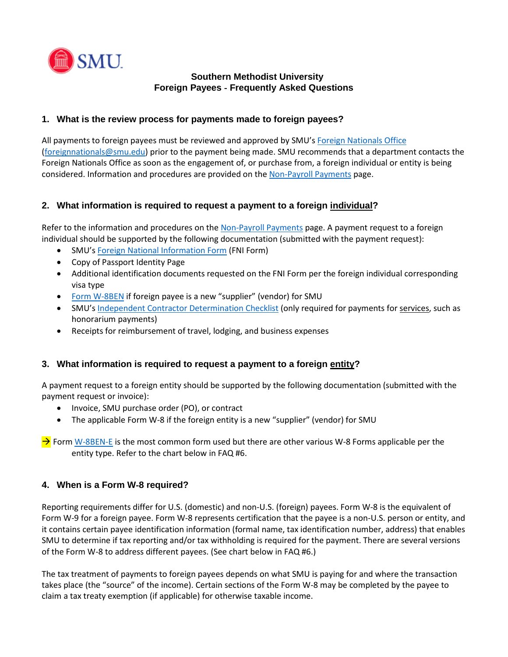

### **Southern Methodist University Foreign Payees** ‐ **Frequently Asked Questions**

# **1. What is the review process for payments made to foreign payees?**

All payments to foreign payees must be reviewed and approved by SMU'[s Foreign Nationals Office](mailto:foreignnationals@smu.edu) [\(foreignnationals@smu.edu\)](mailto:foreignnationals@smu.edu) prior to the payment being made. SMU recommends that a department contacts the Foreign Nationals Office as soon as the engagement of, or purchase from, a foreign individual or entity is being considered. Information and procedures are provided on th[e Non-Payroll Payments](http://www.smu.edu/BusinessFinance/HR/Resources/ManagerResources/NonpayrollPaymentRequests) page.

# **2. What information is required to request a payment to a foreign individual?**

Refer to the information and procedures on the [Non-Payroll Payments](http://www.smu.edu/BusinessFinance/HR/Resources/ManagerResources/NonpayrollPaymentRequests) page. A payment request to a foreign individual should be supported by the following documentation (submitted with the payment request):

- SMU'[s Foreign National Information Form](https://www.smu.edu/-/media/Site/BusinessFinance/HR/pdf/Recruitment/ForeignNationalInformationForm_2013.ashx?la=en) (FNI Form)
- Copy of Passport Identity Page
- Additional identification documents requested on the FNI Form per the foreign individual corresponding visa type
- [Form W-8BEN](https://www.irs.gov/pub/irs-pdf/fw8ben.pdf) if foreign payee is a new "supplier" (vendor) for SMU
- SMU'[s Independent Contractor Determination Checklist](https://www.smu.edu/BusinessFinance/OfficeOfBudgetAndFinance/TaxCompliance/IndependentContractorDeterminationhttps:/www.smu.edu/BusinessFinance/OfficeOfBudgetAndFinance/TaxCompliance/IndependentContractorDetermination) (only required for payments for services, such as honorarium payments)
- Receipts for reimbursement of travel, lodging, and business expenses

### **3. What information is required to request a payment to a foreign entity?**

A payment request to a foreign entity should be supported by the following documentation (submitted with the payment request or invoice):

- Invoice, SMU purchase order (PO), or contract
- The applicable Form W-8 if the foreign entity is a new "supplier" (vendor) for SMU

 $\rightarrow$  Form [W-8BEN-E](https://www.irs.gov/pub/irs-pdf/fw8bene.pdf) is the most common form used but there are other various W-8 Forms applicable per the entity type. Refer to the chart below in FAQ #6.

### **4. When is a Form W**‐**8 required?**

Reporting requirements differ for U.S. (domestic) and non-U.S. (foreign) payees. Form W-8 is the equivalent of Form W-9 for a foreign payee. Form W-8 represents certification that the payee is a non-U.S. person or entity, and it contains certain payee identification information (formal name, tax identification number, address) that enables SMU to determine if tax reporting and/or tax withholding is required for the payment. There are several versions of the Form W-8 to address different payees. (See chart below in FAQ #6.)

The tax treatment of payments to foreign payees depends on what SMU is paying for and where the transaction takes place (the "source" of the income). Certain sections of the Form W-8 may be completed by the payee to claim a tax treaty exemption (if applicable) for otherwise taxable income.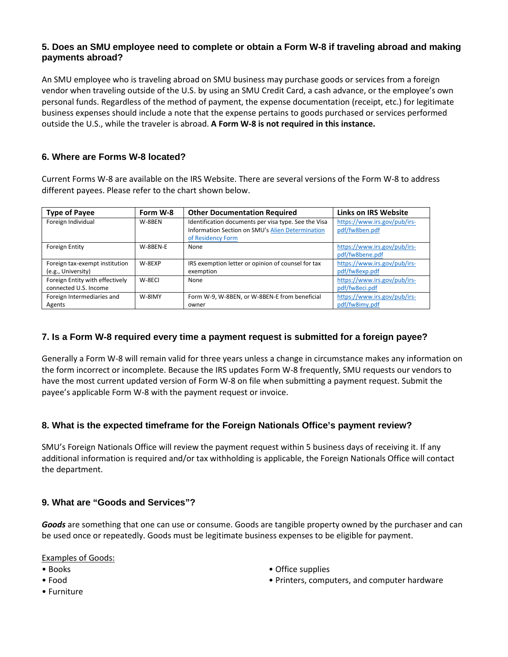#### **5. Does an SMU employee need to complete or obtain a Form W-8 if traveling abroad and making payments abroad?**

An SMU employee who is traveling abroad on SMU business may purchase goods or services from a foreign vendor when traveling outside of the U.S. by using an SMU Credit Card, a cash advance, or the employee's own personal funds. Regardless of the method of payment, the expense documentation (receipt, etc.) for legitimate business expenses should include a note that the expense pertains to goods purchased or services performed outside the U.S., while the traveler is abroad. **A Form W-8 is not required in this instance.**

# **6. Where are Forms W-8 located?**

Current Forms W-8 are available on the IRS Website. There are several versions of the Form W-8 to address different payees. Please refer to the chart shown below.

| <b>Type of Payee</b>            | Form W-8 | <b>Other Documentation Required</b>                  | <b>Links on IRS Website</b>  |
|---------------------------------|----------|------------------------------------------------------|------------------------------|
| Foreign Individual              | W-8BEN   | Identification documents per visa type. See the Visa | https://www.irs.gov/pub/irs- |
|                                 |          | Information Section on SMU's Alien Determination     | pdf/fw8ben.pdf               |
|                                 |          | of Residency Form                                    |                              |
| Foreign Entity                  | W-8BEN-E | None                                                 | https://www.irs.gov/pub/irs- |
|                                 |          |                                                      | pdf/fw8bene.pdf              |
| Foreign tax-exempt institution  | W-8EXP   | IRS exemption letter or opinion of counsel for tax   | https://www.irs.gov/pub/irs- |
| (e.g., University)              |          | exemption                                            | pdf/fw8exp.pdf               |
| Foreign Entity with effectively | W-8ECI   | None                                                 | https://www.irs.gov/pub/irs- |
| connected U.S. Income           |          |                                                      | pdf/fw8eci.pdf               |
| Foreign Intermediaries and      | W-8IMY   | Form W-9, W-8BEN, or W-8BEN-E from beneficial        | https://www.irs.gov/pub/irs- |
| Agents                          |          | owner                                                | pdf/fw8imy.pdf               |

### **7. Is a Form W**‐**8 required every time a payment request is submitted for a foreign payee?**

Generally a Form W-8 will remain valid for three years unless a change in circumstance makes any information on the form incorrect or incomplete. Because the IRS updates Form W-8 frequently, SMU requests our vendors to have the most current updated version of Form W-8 on file when submitting a payment request. Submit the payee's applicable Form W-8 with the payment request or invoice.

### **8. What is the expected timeframe for the Foreign Nationals Office's payment review?**

SMU's Foreign Nationals Office will review the payment request within 5 business days of receiving it. If any additional information is required and/or tax withholding is applicable, the Foreign Nationals Office will contact the department.

### **9. What are "Goods and Services"?**

*Goods* are something that one can use or consume. Goods are tangible property owned by the purchaser and can be used once or repeatedly. Goods must be legitimate business expenses to be eligible for payment.

Examples of Goods:

- Books
- Food
- Furniture
- Office supplies
- Printers, computers, and computer hardware